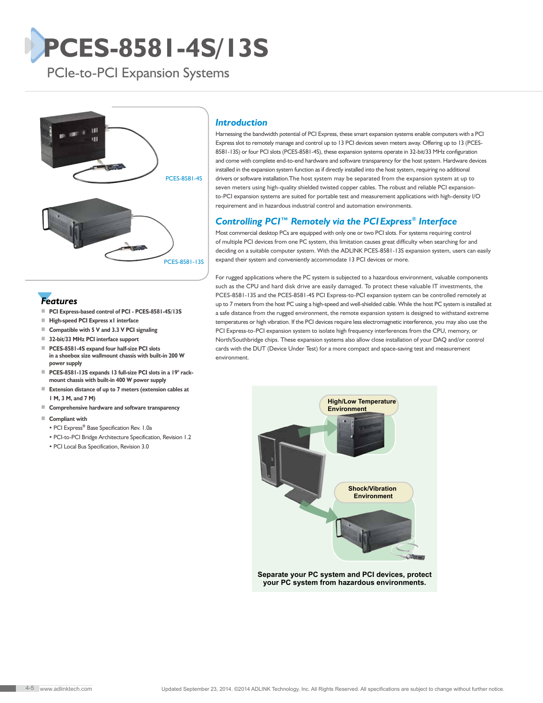# **PCES-8581-4S/13S**

PCIe-to-PCI Expansion Systems



### *Features*

- **PCI Express-based control of PCI PCES-8581-4S/13S**
- **High-speed PCI Express x1 interface**
- **Compatible with 5 V and 3.3 V PCI signaling**
- **32-bit/33 MHz PCI interface support**
- **PCES-8581-4S expand four half-size PCI slots in a shoebox size wallmount chassis with built-in 200 W power supply**
- **PCES-8581-13S** expands 13 full-size PCI slots in a 19" rack**mount chassis with built-in 400 W power supply**
- **Extension distance of up to 7 meters (extension cables at 1 M, 3 M, and 7 M)**
- **Comprehensive hardware and software transparency**
- **Compliant with**
	- PCI Express**®** Base Specification Rev. 1.0a
	- PCI-to-PCI Bridge Architecture Specification, Revision 1.2
	- PCI Local Bus Specification, Revision 3.0

#### *Introduction*

Harnessing the bandwidth potential of PCI Express, these smart expansion systems enable computers with a PCI Express slot to remotely manage and control up to 13 PCI devices seven meters away. Offering up to 13 (PCES-8581-13S) or four PCI slots (PCES-8581-4S), these expansion systems operate in 32-bit/33 MHz configuration and come with complete end-to-end hardware and software transparency for the host system. Hardware devices installed in the expansion system function as if directly installed into the host system, requiring no additional drivers or software installation.The host system may be separated from the expansion system at up to seven meters using high-quality shielded twisted copper cables. The robust and reliable PCI expansionto-PCI expansion systems are suited for portable test and measurement applications with high-density I/O requirement and in hazardous industrial control and automation environments.

#### *Controlling PCI™ Remotely via the PCI Express® Interface*

Most commercial desktop PCs are equipped with only one or two PCI slots. For systems requiring control of multiple PCI devices from one PC system, this limitation causes great difficulty when searching for and deciding on a suitable computer system. With the ADLINK PCES-8581-13S expansion system, users can easily expand their system and conveniently accommodate 13 PCI devices or more.

For rugged applications where the PC system is subjected to a hazardous environment, valuable components such as the CPU and hard disk drive are easily damaged. To protect these valuable IT investments, the PCES-8581-13S and the PCES-8581-4S PCI Express-to-PCI expansion system can be controlled remotely at up to 7 meters from the host PC using a high-speed and well-shielded cable. While the host PC system is installed at a safe distance from the rugged environment, the remote expansion system is designed to withstand extreme temperatures or high vibration. If the PCI devices require less electromagnetic interference, you may also use the PCI Express-to-PCI expansion system to isolate high frequency interferences from the CPU, memory, or North/Southbridge chips. These expansion systems also allow close installation of your DAQ and/or control cards with the DUT (Device Under Test) for a more compact and space-saving test and measurement environment.



**your PC system from hazardous environments.**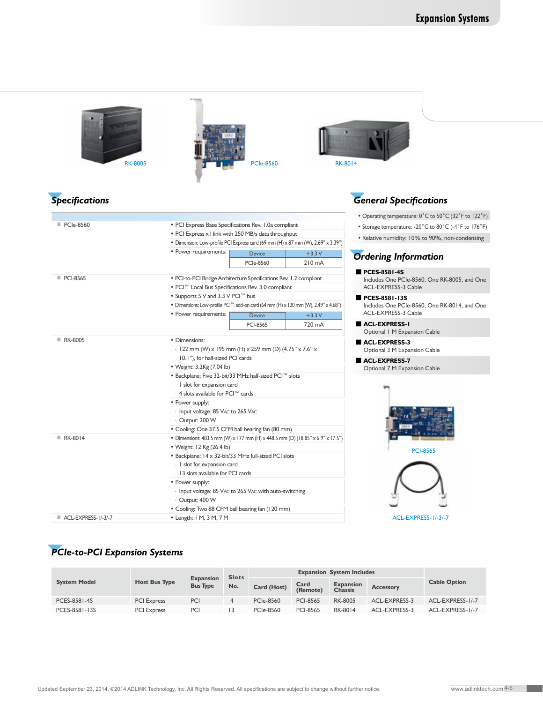| <b>RK-8005</b><br><b>Specifications</b> |                                                                                                                                          | <b>PCIe-8560</b>                                                                                                                        |                                                                                                | <b>RK-8014</b><br><b>General Specifications</b>      |  |  |  |
|-----------------------------------------|------------------------------------------------------------------------------------------------------------------------------------------|-----------------------------------------------------------------------------------------------------------------------------------------|------------------------------------------------------------------------------------------------|------------------------------------------------------|--|--|--|
|                                         |                                                                                                                                          |                                                                                                                                         |                                                                                                |                                                      |  |  |  |
| ■ PCIe-8560                             | • PCI Express Base Specifications Rev. 1.0a compliant                                                                                    |                                                                                                                                         | • Operating temperature: 0°C to 50°C (32°F to 122°F)                                           |                                                      |  |  |  |
|                                         |                                                                                                                                          |                                                                                                                                         |                                                                                                | • Storage temperature: -20°C to 80°C (-4°F to 176°F) |  |  |  |
|                                         |                                                                                                                                          | • PCI Express x1 link with 250 MB/s data throughput<br>• Dimension: Low-profile PCI Express card (69 mm (H) x 87 mm (W), 2.69" x 3.39") |                                                                                                |                                                      |  |  |  |
|                                         | • Power requirements:                                                                                                                    | Device                                                                                                                                  | $+3.3V$                                                                                        |                                                      |  |  |  |
|                                         |                                                                                                                                          | <b>PCIe-8560</b>                                                                                                                        | $210 \text{ mA}$                                                                               | <b>Ordering Information</b>                          |  |  |  |
| PCI-8565                                | · PCI-to-PCI Bridge Architecture Specifications Rev. 1.2 compliant                                                                       |                                                                                                                                         | PCES-8581-4S<br>Includes One PCIe-8560, One RK-8005, and One                                   |                                                      |  |  |  |
|                                         | • PCI™ Local Bus Specifications Rev. 3.0 compliant                                                                                       |                                                                                                                                         | <b>ACL-EXPRESS-3 Cable</b>                                                                     |                                                      |  |  |  |
|                                         | . Supports 5 V and 3.3 V PCI™ bus                                                                                                        |                                                                                                                                         | PCES-8581-13S                                                                                  |                                                      |  |  |  |
|                                         | • Dimensions: Low-profile PCI <sup>TM</sup> add-on card (64 mm (H) x 120 mm (W), 2.49" x 4.68")                                          |                                                                                                                                         |                                                                                                | Includes One PCIe-8560, One RK-8014, and One         |  |  |  |
|                                         | • Power requirements:                                                                                                                    | Device                                                                                                                                  | $+3.3V$                                                                                        | ACL-EXPRESS-3 Cable                                  |  |  |  |
|                                         |                                                                                                                                          | <b>PCI-8565</b>                                                                                                                         | 720 mA                                                                                         | ACL-EXPRESS-I<br>Optional I M Expansion Cable        |  |  |  |
| RK-8005                                 | • Dimensions:<br>- 122 mm (W) x 195 mm (H) x 259 mm (D) (4.75" x 7.6" x<br>10.1"), for half-sized PCI cards<br>• Weight: 3.2Kg (7.04 lb) |                                                                                                                                         | ACL-EXPRESS-3<br>Optional 3 M Expansion Cable<br>ACL-EXPRESS-7<br>Optional 7 M Expansion Cable |                                                      |  |  |  |
|                                         | . Backplane: Five 32-bit/33 MHz half-sized PCI™ slots                                                                                    |                                                                                                                                         |                                                                                                |                                                      |  |  |  |
|                                         | - I slot for expansion card                                                                                                              |                                                                                                                                         |                                                                                                |                                                      |  |  |  |
|                                         | - 4 slots available for PCI™ cards                                                                                                       |                                                                                                                                         |                                                                                                |                                                      |  |  |  |
|                                         | • Power supply:<br>- Input voltage: 85 VAC to 265 VAC<br>- Output: 200 W                                                                 |                                                                                                                                         |                                                                                                |                                                      |  |  |  |
|                                         | • Cooling: One 37.5 CFM ball bearing fan (80 mm)                                                                                         |                                                                                                                                         |                                                                                                |                                                      |  |  |  |
| RK-8014                                 | • Dimensions: 483.5 mm (W) x 177 mm (H) x 448.5 mm (D) (18.85" x 6.9" x 17.5")                                                           |                                                                                                                                         |                                                                                                |                                                      |  |  |  |
|                                         | • Weight: 12 Kg (26.4 lb)                                                                                                                |                                                                                                                                         | <b>PCI-8565</b>                                                                                |                                                      |  |  |  |
|                                         | • Backplane: 14 x 32-bit/33 MHz full-sized PCI slots                                                                                     |                                                                                                                                         |                                                                                                |                                                      |  |  |  |
|                                         | - I slot for expansion card                                                                                                              |                                                                                                                                         |                                                                                                |                                                      |  |  |  |
|                                         | - 13 slots available for PCI cards                                                                                                       |                                                                                                                                         |                                                                                                |                                                      |  |  |  |
|                                         | • Power supply:<br>- Input voltage: 85 VAC to 265 VAC with auto-switching<br>- Output: 400 W                                             |                                                                                                                                         |                                                                                                |                                                      |  |  |  |
|                                         | • Cooling: Two 88 CFM ball bearing fan (120 mm)                                                                                          |                                                                                                                                         |                                                                                                |                                                      |  |  |  |
|                                         |                                                                                                                                          |                                                                                                                                         | • Length: I M, 3 M, 7 M                                                                        |                                                      |  |  |  |

## *PCIe-to-PCI Expansion Systems*

| <b>System Model</b> | <b>Host Bus Type</b> | <b>Expansion</b><br><b>Bus Type</b> | <b>Slots</b><br>No. | <b>Expansion System Includes</b> |                  |                                    |                  |                     |
|---------------------|----------------------|-------------------------------------|---------------------|----------------------------------|------------------|------------------------------------|------------------|---------------------|
|                     |                      |                                     |                     | Card (Host)                      | Card<br>(Remote) | <b>Expansion</b><br><b>Chassis</b> | <b>Accessory</b> | <b>Cable Option</b> |
| PCES-8581-4S        | <b>PCI Express</b>   | PCI                                 |                     | <b>PCIe-8560</b>                 | <b>PCI-8565</b>  | <b>RK-8005</b>                     | ACL-EXPRESS-3    | ACL-EXPRESS-1/-7    |
| PCES-8581-13S       | <b>PCI Express</b>   | PCI                                 |                     | <b>PCIe-8560</b>                 | <b>PCI-8565</b>  | RK-8014                            | ACL-EXPRESS-3    | ACL-EXPRESS-1/-7    |

. .